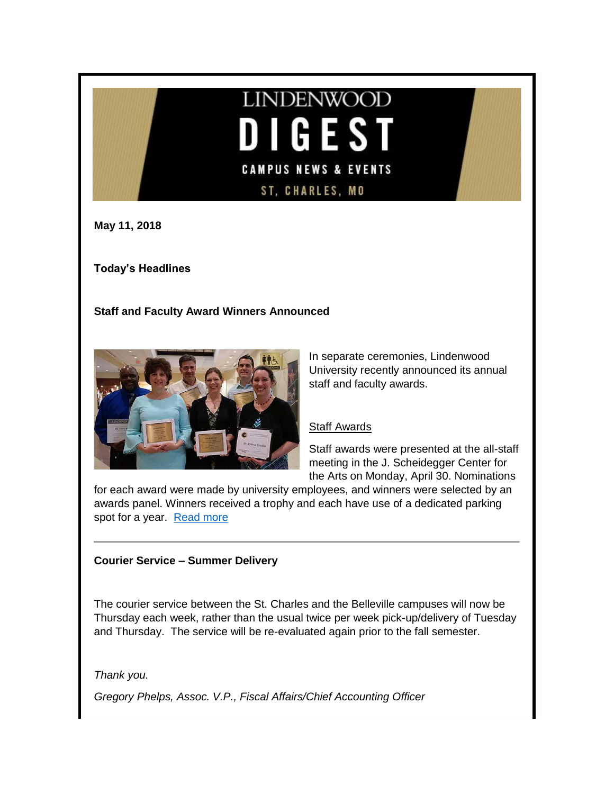# **LINDENWOOD** I GEST **CAMPUS NEWS & EVENTS** ST, CHARLES, MO

**May 11, 2018**

**Today's Headlines**

**Staff and Faculty Award Winners Announced**



In separate ceremonies, Lindenwood University recently announced its annual staff and faculty awards.

# Staff Awards

Staff awards were presented at the all-staff meeting in the J. Scheidegger Center for the Arts on Monday, April 30. Nominations

for each award were made by university employees, and winners were selected by an awards panel. Winners received a trophy and each have use of a dedicated parking spot for a year. [Read more](http://felix.lindenwood.edu/newsletter/2018_05/awardwinners2018.pdf)

# **Courier Service – Summer Delivery**

The courier service between the St. Charles and the Belleville campuses will now be Thursday each week, rather than the usual twice per week pick-up/delivery of Tuesday and Thursday. The service will be re-evaluated again prior to the fall semester.

*Thank you.*

*Gregory Phelps, Assoc. V.P., Fiscal Affairs/Chief Accounting Officer*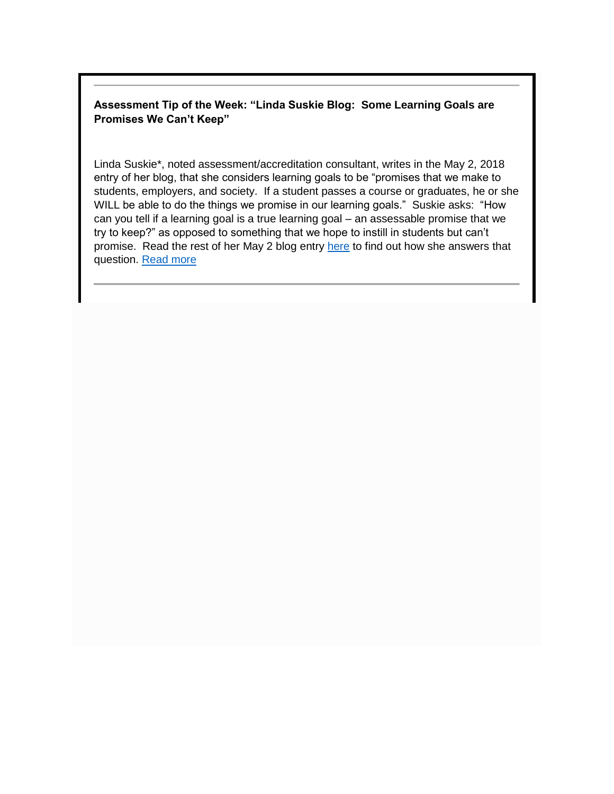# **Assessment Tip of the Week: "Linda Suskie Blog: Some Learning Goals are Promises We Can't Keep"**

Linda Suskie\*, noted assessment/accreditation consultant, writes in the May 2, 2018 entry of her blog, that she considers learning goals to be "promises that we make to students, employers, and society. If a student passes a course or graduates, he or she WILL be able to do the things we promise in our learning goals." Suskie asks: "How can you tell if a learning goal is a true learning goal – an assessable promise that we try to keep?" as opposed to something that we hope to instill in students but can't promise. Read the rest of her May 2 blog entry [here](http://www.lindasuskie.com/apps/blog/show/45622511-some-learning-goals-are-promises-we-can-t-keep) to find out how she answers that question. [Read more](http://felix.lindenwood.edu/newsletter/2018_05/tip_may11.pdf)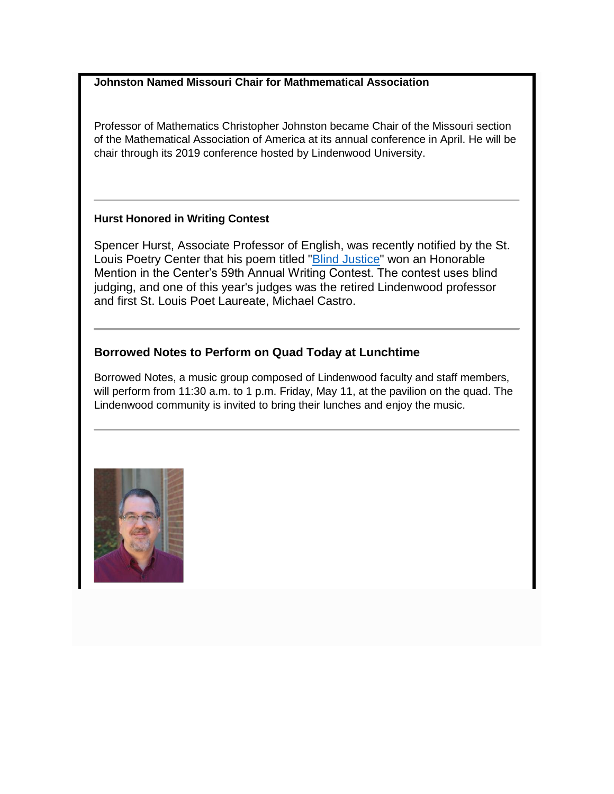# **Johnston Named Missouri Chair for Mathmematical Association**

Professor of Mathematics Christopher Johnston became Chair of the Missouri section of the Mathematical Association of America at its annual conference in April. He will be chair through its 2019 conference hosted by Lindenwood University.

# **Hurst Honored in Writing Contest**

Spencer Hurst, Associate Professor of English, was recently notified by the St. Louis Poetry Center that his poem titled ["Blind Justice"](http://felix.lindenwood.edu/newsletter/2018_05/blindjustice.pdf) won an Honorable Mention in the Center's 59th Annual Writing Contest. The contest uses blind judging, and one of this year's judges was the retired Lindenwood professor and first St. Louis Poet Laureate, Michael Castro.

# **Borrowed Notes to Perform on Quad Today at Lunchtime**

Borrowed Notes, a music group composed of Lindenwood faculty and staff members, will perform from 11:30 a.m. to 1 p.m. Friday, May 11, at the pavilion on the quad. The Lindenwood community is invited to bring their lunches and enjoy the music.

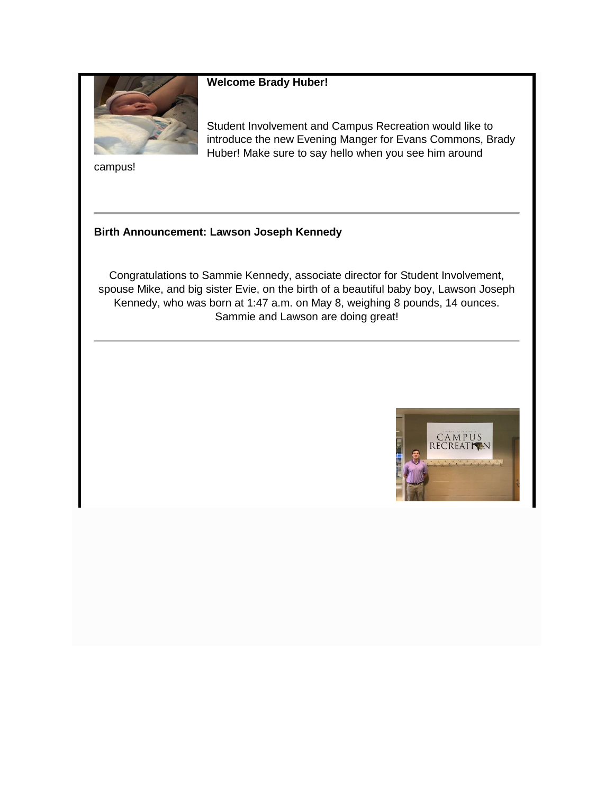

#### **Welcome Brady Huber!**

Student Involvement and Campus Recreation would like to introduce the new Evening Manger for Evans Commons, Brady Huber! Make sure to say hello when you see him around

campus!

# **Birth Announcement: Lawson Joseph Kennedy**

Congratulations to Sammie Kennedy, associate director for Student Involvement, spouse Mike, and big sister Evie, on the birth of a beautiful baby boy, Lawson Joseph Kennedy, who was born at 1:47 a.m. on May 8, weighing 8 pounds, 14 ounces. Sammie and Lawson are doing great!

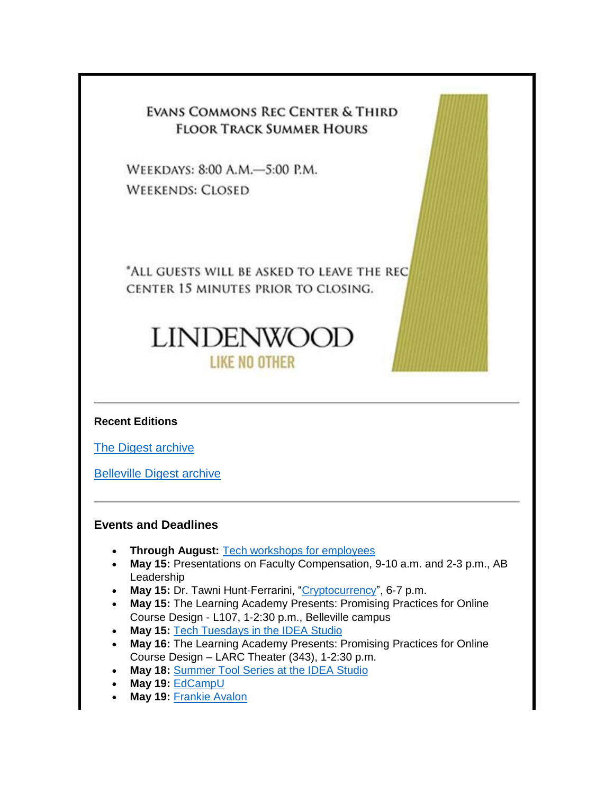# EVANS COMMONS REC CENTER & THIRD **FLOOR TRACK SUMMER HOURS**

WEEKDAYS: 8:00 A.M.-5:00 P.M. **WEEKENDS: CLOSED** 

\*ALL GUESTS WILL BE ASKED TO LEAVE THE REC CENTER 15 MINUTES PRIOR TO CLOSING.

# **LINDENWOOD** LIKE NO OTHER

**Recent Editions**

[The Digest archive](http://www.lindenwood.edu/about/digest-archives/)

[Belleville Digest archive](http://www.lindenwood.edu/belleville/about/lindenwood-belleville-digest-archives/)

# **Events and Deadlines**

- **Through August: [Tech workshops for employees](http://felix.lindenwood.edu/newsletter/2018_05/summer2018catalog.pdf)**
- **May 15:** Presentations on Faculty Compensation, 9-10 a.m. and 2-3 p.m., AB Leadership
- May 15: Dr. Tawni Hunt-Ferrarini, ["Cryptocurrency"](https://register.gotowebinar.com/register/2404464092865063427), 6-7 p.m.
- **May 15:** The Learning Academy Presents: Promising Practices for Online Course Design - L107, 1-2:30 p.m., Belleville campus
- **May 15:** [Tech Tuesdays in the IDEA Studio](https://docs.google.com/document/d/13BkW_A_q8Y-fQVC84y8CcFe1gwKcnI1Y614xS9IVQk4/edit?usp=sharing)
- **May 16:** The Learning Academy Presents: Promising Practices for Online Course Design – LARC Theater (343), 1-2:30 p.m.
- **May 18:** [Summer Tool Series at the IDEA Studio](https://docs.google.com/document/d/1Of8snzJHFa6eRwS2a0aICqAhmcuGOi6j1WSbmEpk5ls/edit?usp=sharing)
- **May 19:** [EdCampU](https://docs.google.com/presentation/d/1qpvcvWhdX9XoIDCbn9reDLc7fRdv0QexmRK63O5YEs8/edit?usp=sharing)
- **May 19:** [Frankie Avalon](http://www.lindenwood.edu/j-scheidegger-center-for-the-arts/upcoming-events/main-stage-season/frankie-avalon/)